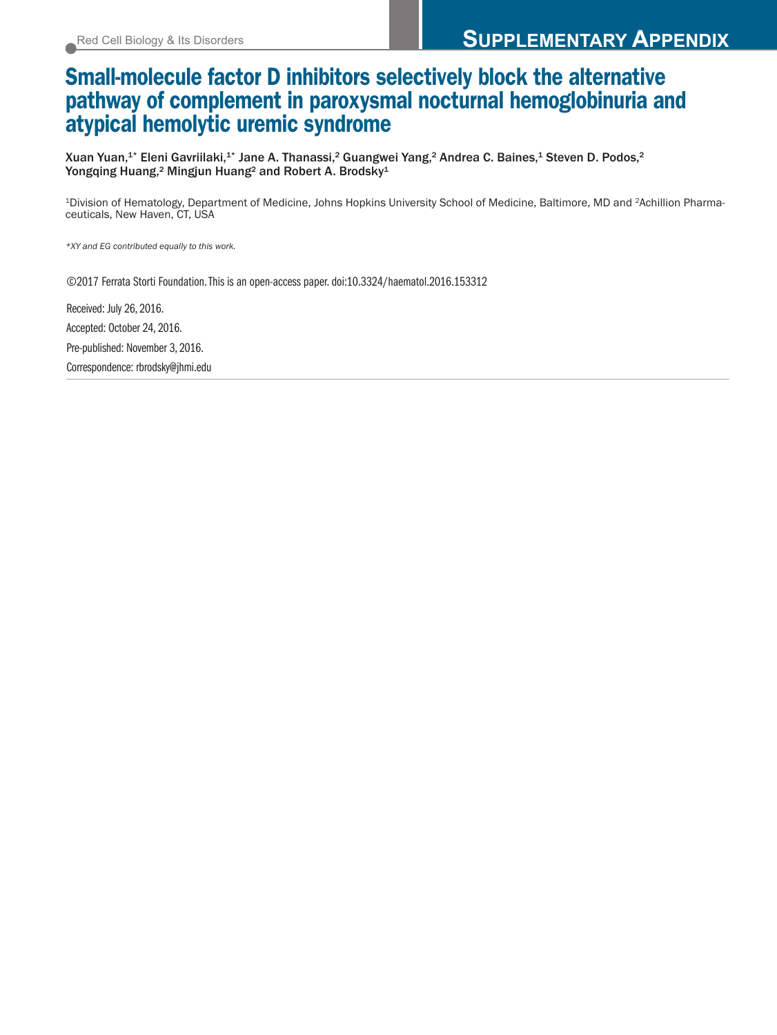## **Small-molecule factor D inhibitors selectively block the alternative pathway of complement in paroxysmal nocturnal hemoglobinuria and atypical hemolytic uremic syndrome**

Xuan Yuan, $^{1*}$  Eleni Gavriilaki, $^{1*}$  Jane A. Thanassi, $^2$  Guangwei Yang, $^2$  Andrea C. Baines, $^4$  Steven D. Podos, $^2$ Yongqing Huang,<sup>2</sup> Mingjun Huang<sup>2</sup> and Robert A. Brodsky<sup>1</sup>

<sup>1</sup>Division of Hematology, Department of Medicine, Johns Hopkins University School of Medicine, Baltimore, MD and <sup>2</sup>Achillion Pharmaceuticals, New Haven, CT, USA

*\*XY and EG contributed equally to this work.*

©2017 Ferrata Storti Foundation.This is an open-access paper. doi:10.3324/haematol.2016.153312

Received: July 26, 2016. Accepted: October 24, 2016. Pre-published: November 3, 2016. Correspondence: rbrodsky@jhmi.edu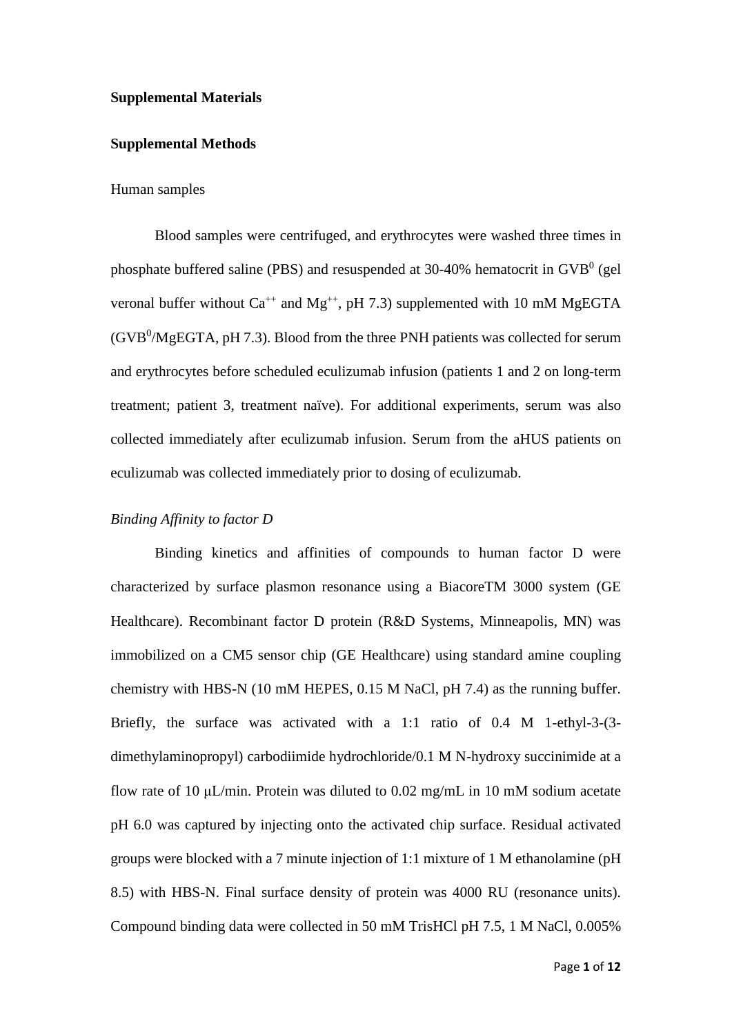#### **Supplemental Materials**

#### **Supplemental Methods**

#### Human samples

Blood samples were centrifuged, and erythrocytes were washed three times in phosphate buffered saline (PBS) and resuspended at 30-40% hematocrit in  $GVB<sup>0</sup>$  (gel veronal buffer without  $Ca^{++}$  and  $Mg^{++}$ , pH 7.3) supplemented with 10 mM MgEGTA (GVB<sup>0</sup>/MgEGTA, pH 7.3). Blood from the three PNH patients was collected for serum and erythrocytes before scheduled eculizumab infusion (patients 1 and 2 on long-term treatment; patient 3, treatment naïve). For additional experiments, serum was also collected immediately after eculizumab infusion. Serum from the aHUS patients on eculizumab was collected immediately prior to dosing of eculizumab.

#### *Binding Affinity to factor D*

Binding kinetics and affinities of compounds to human factor D were characterized by surface plasmon resonance using a BiacoreTM 3000 system (GE Healthcare). Recombinant factor D protein (R&D Systems, Minneapolis, MN) was immobilized on a CM5 sensor chip (GE Healthcare) using standard amine coupling chemistry with HBS-N (10 mM HEPES, 0.15 M NaCl, pH 7.4) as the running buffer. Briefly, the surface was activated with a 1:1 ratio of 0.4 M 1-ethyl-3-(3 dimethylaminopropyl) carbodiimide hydrochloride/0.1 M N-hydroxy succinimide at a flow rate of 10 μL/min. Protein was diluted to 0.02 mg/mL in 10 mM sodium acetate pH 6.0 was captured by injecting onto the activated chip surface. Residual activated groups were blocked with a 7 minute injection of 1:1 mixture of 1 M ethanolamine (pH 8.5) with HBS-N. Final surface density of protein was 4000 RU (resonance units). Compound binding data were collected in 50 mM TrisHCl pH 7.5, 1 M NaCl, 0.005%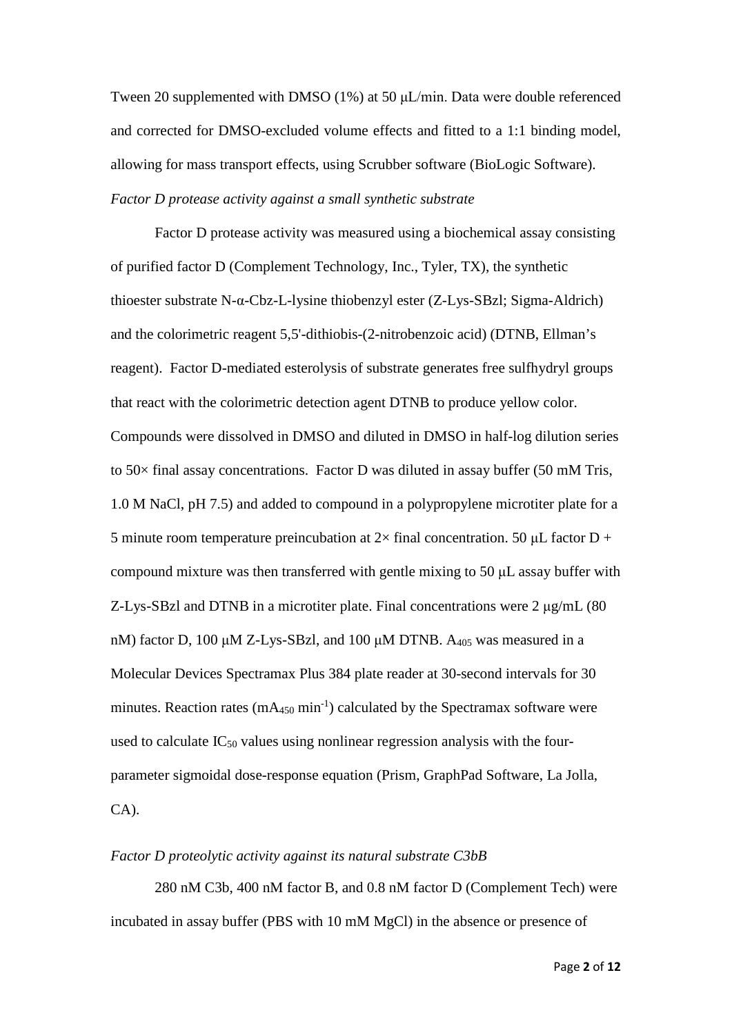Tween 20 supplemented with DMSO (1%) at 50 μL/min. Data were double referenced and corrected for DMSO-excluded volume effects and fitted to a 1:1 binding model, allowing for mass transport effects, using Scrubber software (BioLogic Software). *Factor D protease activity against a small synthetic substrate*

Factor D protease activity was measured using a biochemical assay consisting of purified factor D (Complement Technology, Inc., Tyler, TX), the synthetic thioester substrate N-α-Cbz-L-lysine thiobenzyl ester (Z-Lys-SBzl; Sigma-Aldrich) and the colorimetric reagent 5,5'-dithiobis-(2-nitrobenzoic acid) (DTNB, Ellman's reagent). Factor D-mediated esterolysis of substrate generates free sulfhydryl groups that react with the colorimetric detection agent DTNB to produce yellow color. Compounds were dissolved in DMSO and diluted in DMSO in half-log dilution series to 50× final assay concentrations. Factor D was diluted in assay buffer (50 mM Tris, 1.0 M NaCl, pH 7.5) and added to compound in a polypropylene microtiter plate for a 5 minute room temperature preincubation at  $2\times$  final concentration. 50 µL factor D + compound mixture was then transferred with gentle mixing to 50 μL assay buffer with Z-Lys-SBzl and DTNB in a microtiter plate. Final concentrations were  $2 \mu g/mL$  (80 nM) factor D, 100 μM Z-Lys-SBzl, and 100 μM DTNB.  $A_{405}$  was measured in a Molecular Devices Spectramax Plus 384 plate reader at 30-second intervals for 30 minutes. Reaction rates  $(mA_{450} \text{ min}^{-1})$  calculated by the Spectramax software were used to calculate  $IC_{50}$  values using nonlinear regression analysis with the fourparameter sigmoidal dose-response equation (Prism, GraphPad Software, La Jolla, CA).

## *Factor D proteolytic activity against its natural substrate C3bB*

280 nM C3b, 400 nM factor B, and 0.8 nM factor D (Complement Tech) were incubated in assay buffer (PBS with 10 mM MgCl) in the absence or presence of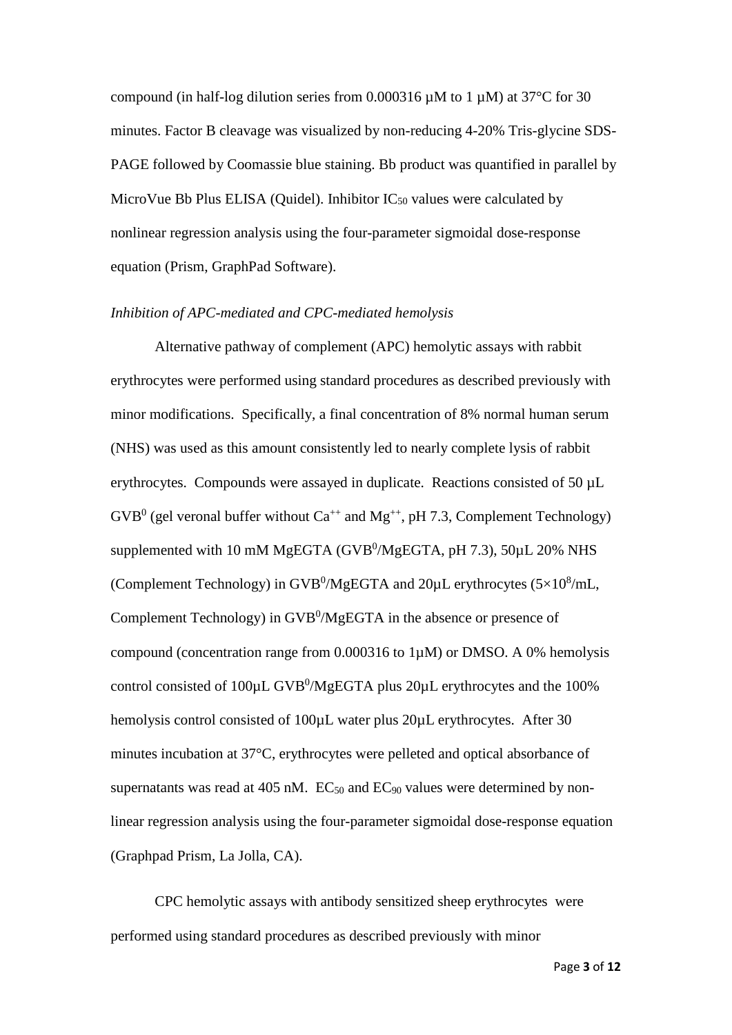compound (in half-log dilution series from 0.000316  $\mu$ M to 1  $\mu$ M) at 37°C for 30 minutes. Factor B cleavage was visualized by non-reducing 4-20% Tris-glycine SDS-PAGE followed by Coomassie blue staining. Bb product was quantified in parallel by MicroVue Bb Plus ELISA (Quidel). Inhibitor  $IC_{50}$  values were calculated by nonlinear regression analysis using the four-parameter sigmoidal dose-response equation (Prism, GraphPad Software).

#### *Inhibition of APC-mediated and CPC-mediated hemolysis*

Alternative pathway of complement (APC) hemolytic assays with rabbit erythrocytes were performed using standard procedures as described previously with minor modifications. Specifically, a final concentration of 8% normal human serum (NHS) was used as this amount consistently led to nearly complete lysis of rabbit erythrocytes. Compounds were assayed in duplicate. Reactions consisted of 50 µL  $GVB<sup>0</sup>$  (gel veronal buffer without  $Ca^{++}$  and  $Mg^{++}$ , pH 7.3, Complement Technology) supplemented with 10 mM MgEGTA (GVB $^0$ /MgEGTA, pH 7.3), 50 $\mu$ L 20% NHS (Complement Technology) in GVB<sup>0</sup>/MgEGTA and  $20 \mu$ L erythrocytes (5×10<sup>8</sup>/mL, Complement Technology) in GVB<sup>0</sup>/MgEGTA in the absence or presence of compound (concentration range from 0.000316 to 1µM) or DMSO. A 0% hemolysis control consisted of  $100 \mu L GVB^0/MgEGTA$  plus  $20 \mu L$  erythrocytes and the  $100\%$ hemolysis control consisted of 100 $\mu$ L water plus 20 $\mu$ L erythrocytes. After 30 minutes incubation at 37°C, erythrocytes were pelleted and optical absorbance of supernatants was read at 405 nM.  $EC_{50}$  and  $EC_{90}$  values were determined by nonlinear regression analysis using the four-parameter sigmoidal dose-response equation (Graphpad Prism, La Jolla, CA).

CPC hemolytic assays with antibody sensitized sheep erythrocytes were performed using standard procedures as described previously with minor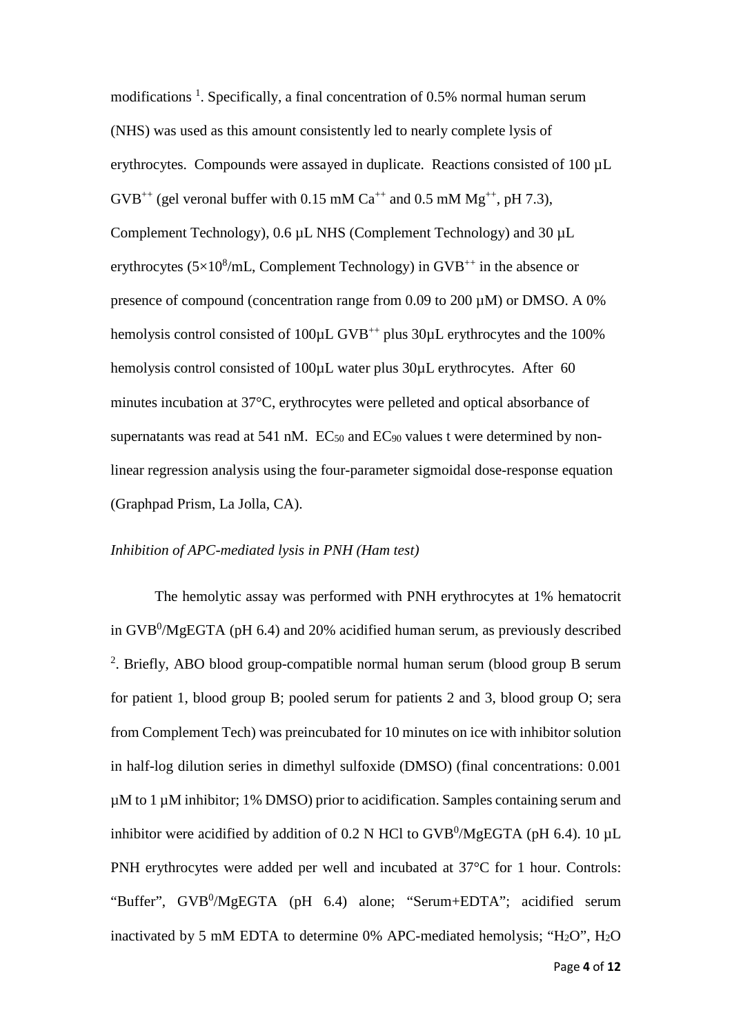modifications<sup>1</sup>. Specifically, a final concentration of 0.5% normal human serum (NHS) was used as this amount consistently led to nearly complete lysis of erythrocytes. Compounds were assayed in duplicate. Reactions consisted of 100 µL  $GVB^{++}$  (gel veronal buffer with 0.15 mM Ca<sup>++</sup> and 0.5 mM Mg<sup>++</sup>, pH 7.3), Complement Technology), 0.6 µL NHS (Complement Technology) and 30 µL erythrocytes  $(5\times10^8/\text{mL}$ , Complement Technology) in GVB<sup>++</sup> in the absence or presence of compound (concentration range from 0.09 to 200 µM) or DMSO. A 0% hemolysis control consisted of 100 $\mu$ L GVB<sup>++</sup> plus 30 $\mu$ L erythrocytes and the 100% hemolysis control consisted of 100 $\mu$ L water plus 30 $\mu$ L erythrocytes. After 60 minutes incubation at 37°C, erythrocytes were pelleted and optical absorbance of supernatants was read at 541 nM.  $EC_{50}$  and  $EC_{90}$  values t were determined by nonlinear regression analysis using the four-parameter sigmoidal dose-response equation (Graphpad Prism, La Jolla, CA).

## *Inhibition of APC-mediated lysis in PNH (Ham test)*

The hemolytic assay was performed with PNH erythrocytes at 1% hematocrit in GVB $^0$ /MgEGTA (pH 6.4) and 20% acidified human serum, as previously described <sup>2</sup>. Briefly, ABO blood group-compatible normal human serum (blood group B serum for patient 1, blood group B; pooled serum for patients 2 and 3, blood group O; sera from Complement Tech) was preincubated for 10 minutes on ice with inhibitor solution in half-log dilution series in dimethyl sulfoxide (DMSO) (final concentrations: 0.001 µM to 1 µM inhibitor; 1% DMSO) prior to acidification. Samples containing serum and inhibitor were acidified by addition of 0.2 N HCl to  $GVB^0/MgEGTA$  (pH 6.4). 10 µL PNH erythrocytes were added per well and incubated at 37°C for 1 hour. Controls: "Buffer", GVB<sup>0</sup>/MgEGTA (pH 6.4) alone; "Serum+EDTA"; acidified serum inactivated by 5 mM EDTA to determine 0% APC-mediated hemolysis; " $H_2O$ ",  $H_2O$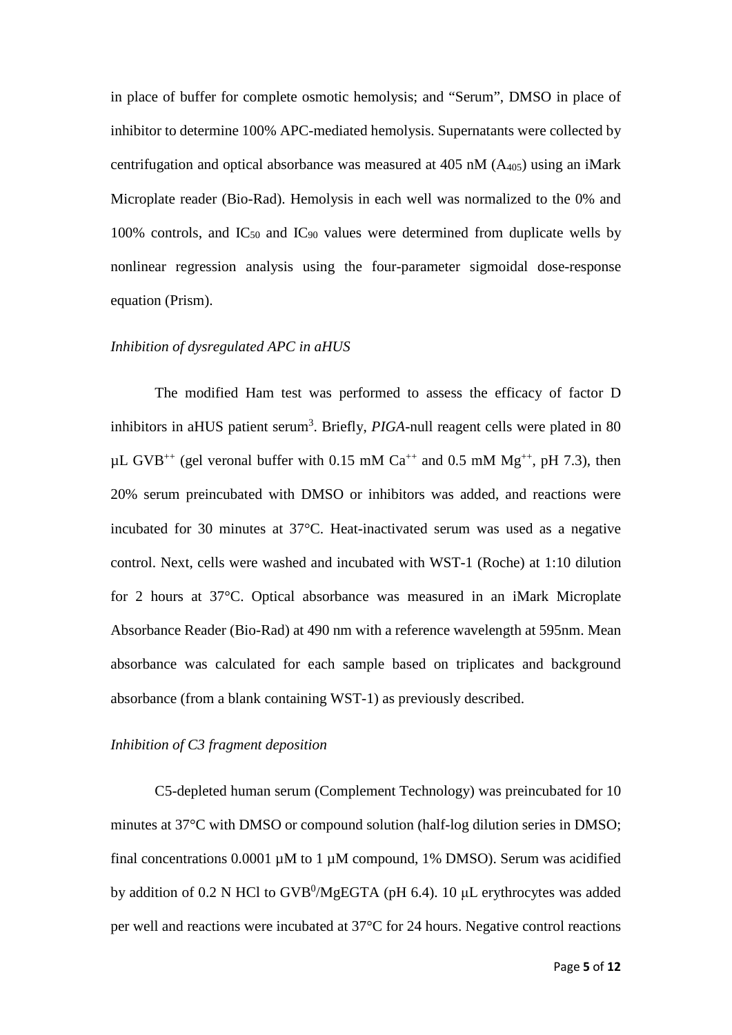in place of buffer for complete osmotic hemolysis; and "Serum", DMSO in place of inhibitor to determine 100% APC-mediated hemolysis. Supernatants were collected by centrifugation and optical absorbance was measured at 405 nM  $(A_{405})$  using an iMark Microplate reader (Bio-Rad). Hemolysis in each well was normalized to the 0% and 100% controls, and  $IC_{50}$  and  $IC_{90}$  values were determined from duplicate wells by nonlinear regression analysis using the four-parameter sigmoidal dose-response equation (Prism).

## *Inhibition of dysregulated APC in aHUS*

The modified Ham test was performed to assess the efficacy of factor D inhibitors in aHUS patient serum<sup>3</sup>. Briefly, PIGA-null reagent cells were plated in 80  $\mu$ L GVB<sup>++</sup> (gel veronal buffer with 0.15 mM Ca<sup>++</sup> and 0.5 mM Mg<sup>++</sup>, pH 7.3), then 20% serum preincubated with DMSO or inhibitors was added, and reactions were incubated for 30 minutes at 37°C. Heat-inactivated serum was used as a negative control. Next, cells were washed and incubated with WST-1 (Roche) at 1:10 dilution for 2 hours at 37°C. Optical absorbance was measured in an iMark Microplate Absorbance Reader (Bio-Rad) at 490 nm with a reference wavelength at 595nm. Mean absorbance was calculated for each sample based on triplicates and background absorbance (from a blank containing WST-1) as previously described.

#### *Inhibition of C3 fragment deposition*

C5-depleted human serum (Complement Technology) was preincubated for 10 minutes at 37°C with DMSO or compound solution (half-log dilution series in DMSO; final concentrations  $0.0001 \mu M$  to 1  $\mu M$  compound, 1% DMSO). Serum was acidified by addition of 0.2 N HCl to  $GVB^0/MgEGTA$  (pH 6.4). 10 µL erythrocytes was added per well and reactions were incubated at 37°C for 24 hours. Negative control reactions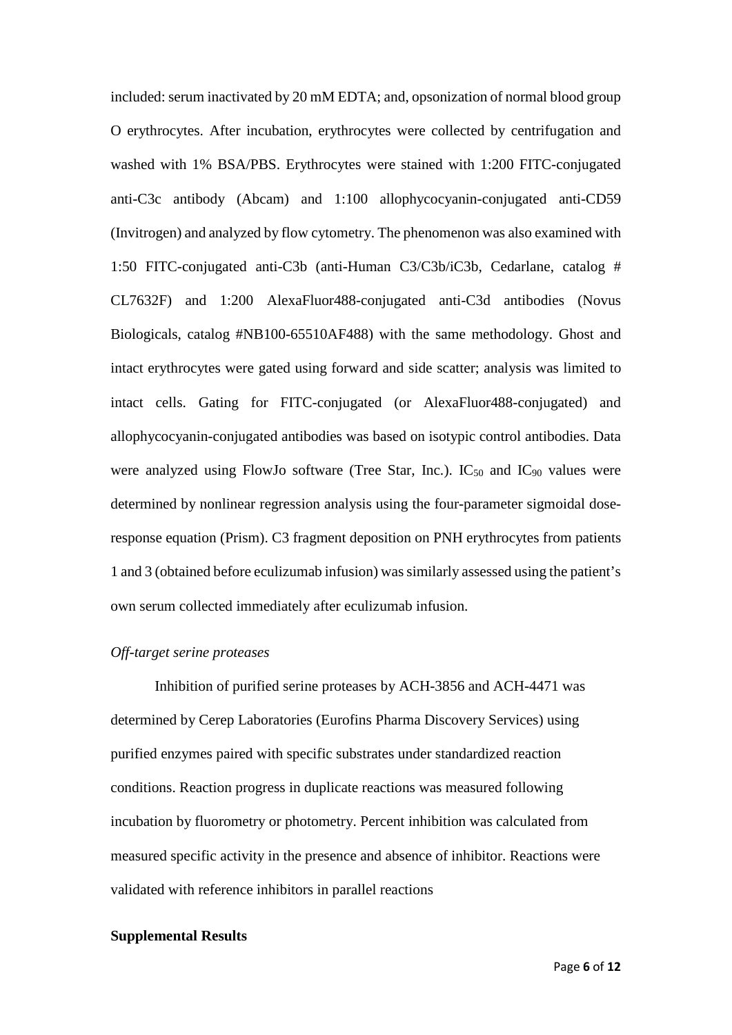included: serum inactivated by 20 mM EDTA; and, opsonization of normal blood group O erythrocytes. After incubation, erythrocytes were collected by centrifugation and washed with 1% BSA/PBS. Erythrocytes were stained with 1:200 FITC-conjugated anti-C3c antibody (Abcam) and 1:100 allophycocyanin-conjugated anti-CD59 (Invitrogen) and analyzed by flow cytometry. The phenomenon was also examined with 1:50 FITC-conjugated anti-C3b (anti-Human C3/C3b/iC3b, Cedarlane, catalog # CL7632F) and 1:200 AlexaFluor488-conjugated anti-C3d antibodies (Novus Biologicals, catalog #NB100-65510AF488) with the same methodology. Ghost and intact erythrocytes were gated using forward and side scatter; analysis was limited to intact cells. Gating for FITC-conjugated (or AlexaFluor488-conjugated) and allophycocyanin-conjugated antibodies was based on isotypic control antibodies. Data were analyzed using FlowJo software (Tree Star, Inc.). IC<sub>50</sub> and IC<sub>90</sub> values were determined by nonlinear regression analysis using the four-parameter sigmoidal doseresponse equation (Prism). C3 fragment deposition on PNH erythrocytes from patients 1 and 3 (obtained before eculizumab infusion) wassimilarly assessed using the patient's own serum collected immediately after eculizumab infusion.

## *Off-target serine proteases*

Inhibition of purified serine proteases by ACH-3856 and ACH-4471 was determined by Cerep Laboratories (Eurofins Pharma Discovery Services) using purified enzymes paired with specific substrates under standardized reaction conditions. Reaction progress in duplicate reactions was measured following incubation by fluorometry or photometry. Percent inhibition was calculated from measured specific activity in the presence and absence of inhibitor. Reactions were validated with reference inhibitors in parallel reactions

#### **Supplemental Results**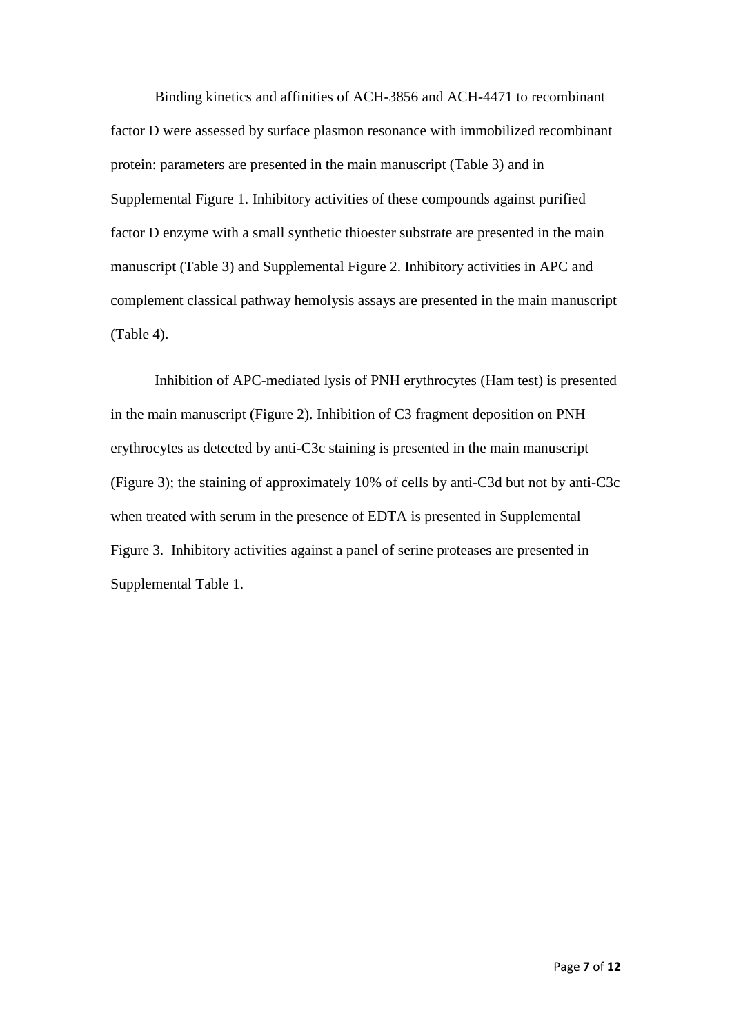Binding kinetics and affinities of ACH-3856 and ACH-4471 to recombinant factor D were assessed by surface plasmon resonance with immobilized recombinant protein: parameters are presented in the main manuscript (Table 3) and in Supplemental Figure 1. Inhibitory activities of these compounds against purified factor D enzyme with a small synthetic thioester substrate are presented in the main manuscript (Table 3) and Supplemental Figure 2. Inhibitory activities in APC and complement classical pathway hemolysis assays are presented in the main manuscript (Table 4).

Inhibition of APC-mediated lysis of PNH erythrocytes (Ham test) is presented in the main manuscript (Figure 2). Inhibition of C3 fragment deposition on PNH erythrocytes as detected by anti-C3c staining is presented in the main manuscript (Figure 3); the staining of approximately 10% of cells by anti-C3d but not by anti-C3c when treated with serum in the presence of EDTA is presented in Supplemental Figure 3. Inhibitory activities against a panel of serine proteases are presented in Supplemental Table 1.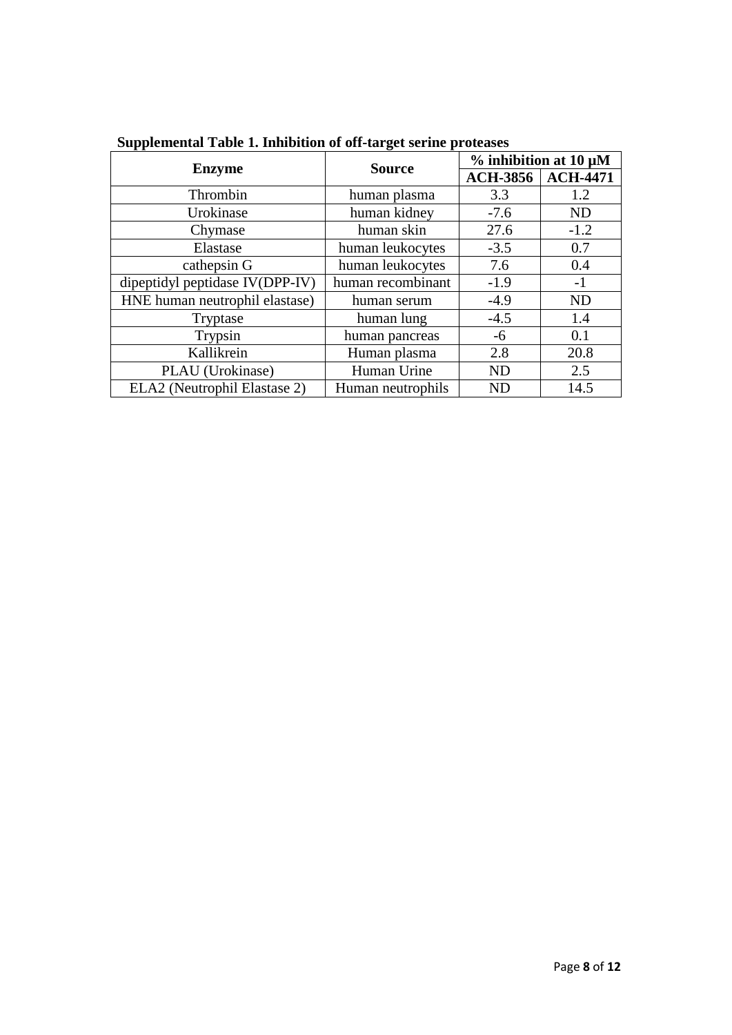| <b>Enzyme</b>                   | <b>Source</b>     | $%$ inhibition at 10 µM |                 |
|---------------------------------|-------------------|-------------------------|-----------------|
|                                 |                   | <b>ACH-3856</b>         | <b>ACH-4471</b> |
| Thrombin                        | human plasma      | 3.3                     | 1.2             |
| Urokinase                       | human kidney      | $-7.6$                  | <b>ND</b>       |
| Chymase                         | human skin        | 27.6                    | $-1.2$          |
| Elastase                        | human leukocytes  | $-3.5$                  | 0.7             |
| cathepsin G                     | human leukocytes  | 7.6                     | 0.4             |
| dipeptidyl peptidase IV(DPP-IV) | human recombinant | $-1.9$                  | $-1$            |
| HNE human neutrophil elastase)  | human serum       | $-4.9$                  | <b>ND</b>       |
| Tryptase                        | human lung        | $-4.5$                  | 1.4             |
| Trypsin                         | human pancreas    | $-6$                    | 0.1             |
| Kallikrein                      | Human plasma      | 2.8                     | 20.8            |
| PLAU (Urokinase)                | Human Urine       | <b>ND</b>               | 2.5             |
| ELA2 (Neutrophil Elastase 2)    | Human neutrophils | <b>ND</b>               | 14.5            |

**Supplemental Table 1. Inhibition of off-target serine proteases**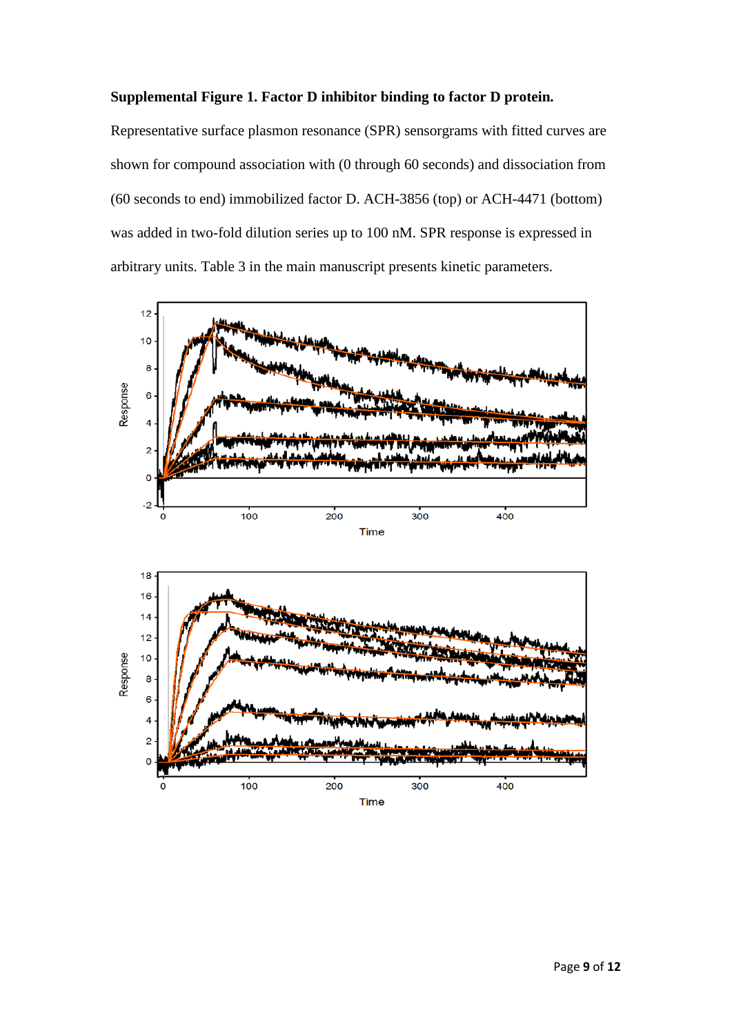## **Supplemental Figure 1. Factor D inhibitor binding to factor D protein.**

Representative surface plasmon resonance (SPR) sensorgrams with fitted curves are shown for compound association with (0 through 60 seconds) and dissociation from (60 seconds to end) immobilized factor D. ACH-3856 (top) or ACH-4471 (bottom) was added in two-fold dilution series up to 100 nM. SPR response is expressed in arbitrary units. Table 3 in the main manuscript presents kinetic parameters.



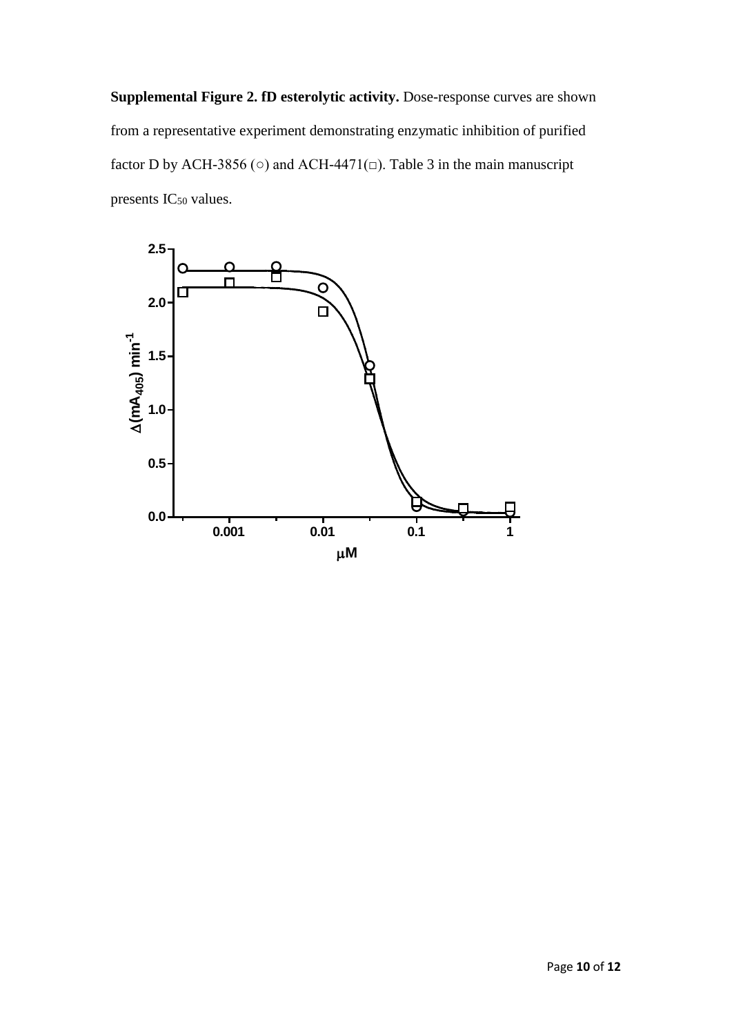**Supplemental Figure 2. fD esterolytic activity.** Dose-response curves are shown from a representative experiment demonstrating enzymatic inhibition of purified factor D by ACH-3856 ( $\circ$ ) and ACH-4471( $\Box$ ). Table 3 in the main manuscript presents IC<sub>50</sub> values.

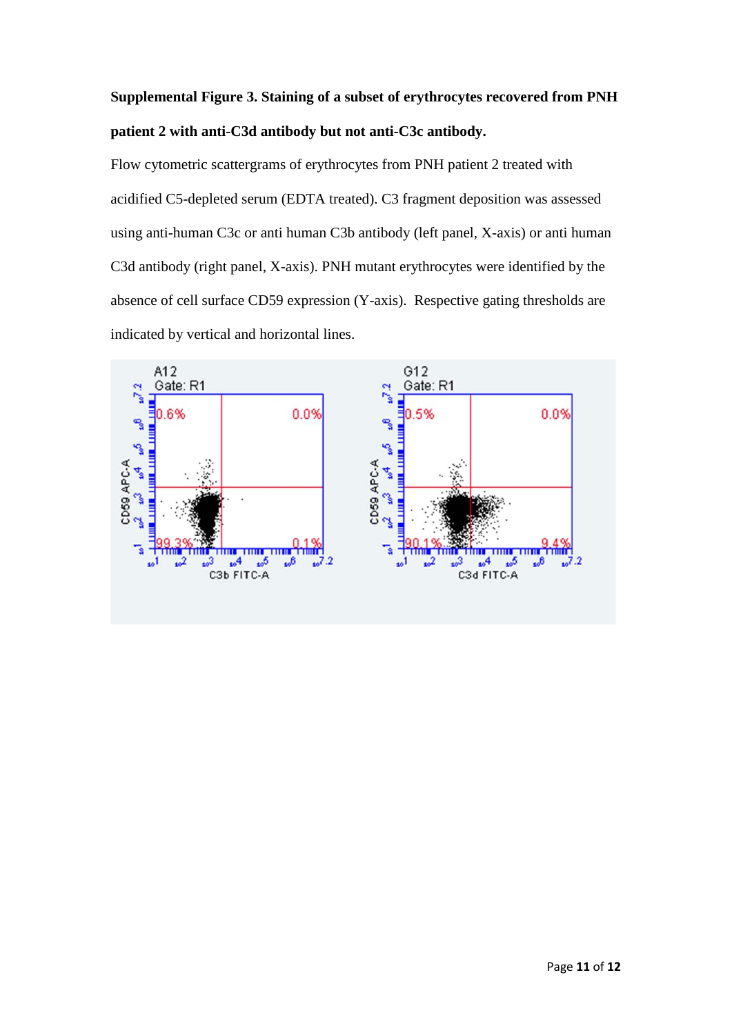# **Supplemental Figure 3. Staining of a subset of erythrocytes recovered from PNH patient 2 with anti-C3d antibody but not anti-C3c antibody.**

Flow cytometric scattergrams of erythrocytes from PNH patient 2 treated with acidified C5-depleted serum (EDTA treated). C3 fragment deposition was assessed using anti-human C3c or anti human C3b antibody (left panel, X-axis) or anti human C3d antibody (right panel, X-axis). PNH mutant erythrocytes were identified by the absence of cell surface CD59 expression (Y-axis). Respective gating thresholds are indicated by vertical and horizontal lines.